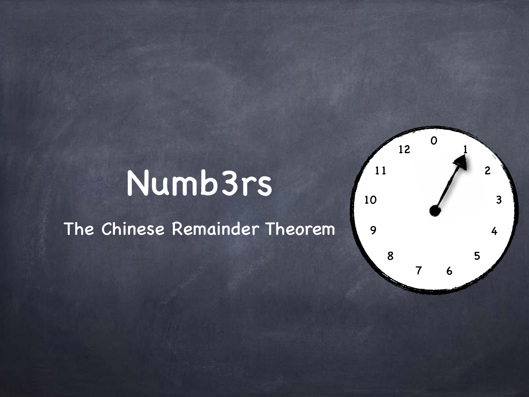### Numb3rs

The Chinese Remainder Theorem

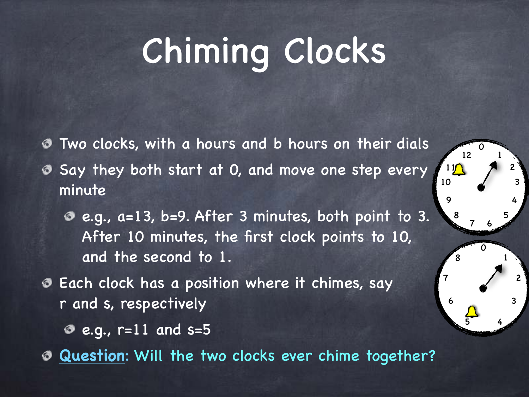## Chiming Clocks

Two clocks, with a hours and b hours on their dials

- Say they both start at 0, and move one step every minute
	- e.g., a=13, b=9. After 3 minutes, both point to 3. After 10 minutes, the first clock points to 10, and the second to 1.

4

6

 $\boldsymbol{O}$ 

- Each clock has a position where it chimes, say r and s, respectively
	- $e.g.,$  r=11 and s=5

**Question**: Will the two clocks ever chime together?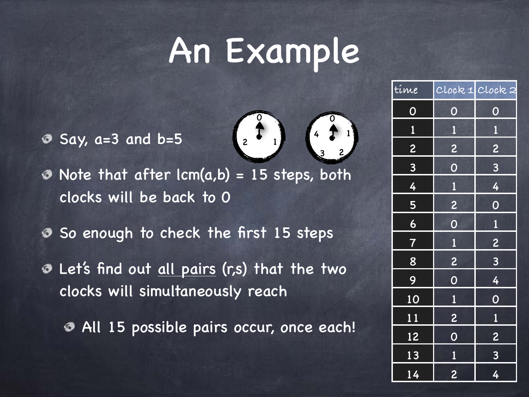### An Example

 $\sigma$  Say, a=3 and b=5



 $\odot$  Note that after lcm(a,b) = 15 steps, both clocks will be back to 0

- So enough to check the first 15 steps
- **O** Let's find out all pairs (r,s) that the two clocks will simultaneously reach
	- All 15 possible pairs occur, once each!

| time           |                         | Clock 1 Clock 2         |
|----------------|-------------------------|-------------------------|
| $\overline{O}$ | $\overline{O}$          | $\overline{O}$          |
| $\mathbf{1}$   | $\overline{\mathbf{1}}$ | $\mathbf{1}$            |
| 2              | $\overline{c}$          | $\overline{c}$          |
| $\overline{3}$ | $\overline{O}$          | $\overline{\mathbf{3}}$ |
| $\overline{4}$ | $\overline{\mathbf{1}}$ | 4                       |
| 5              | $\overline{c}$          | $\overline{O}$          |
| 6              | $\overline{O}$          | $\mathbf{1}$            |
| $\overline{7}$ | $\overline{\mathbf{1}}$ | $\overline{c}$          |
| 8              | $\overline{c}$          | $\overline{\mathbf{3}}$ |
| 9              | $\overline{O}$          | 4                       |
| 10             | $\mathbf{1}$            | $\overline{O}$          |
| 11             | $\overline{\mathbf{c}}$ | $\overline{\mathbf{1}}$ |
| 12             | $\overline{O}$          | $\overline{\mathbf{c}}$ |
| 13             | $\overline{\mathbf{1}}$ | $\overline{\mathbf{3}}$ |
| 14             | $\overline{c}$          | 4                       |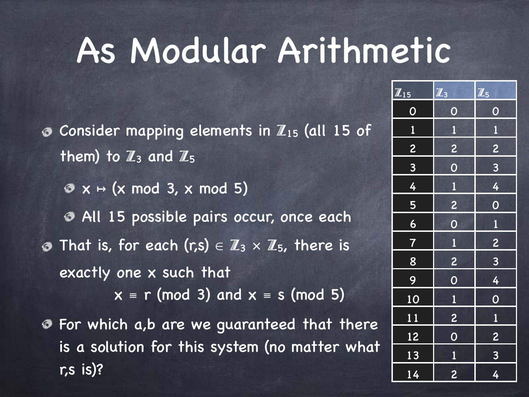### As Modular Arithmetic

 $\bullet$  Consider mapping elements in  $\mathbb{Z}_{15}$  (all 15 of them) to  $\mathbb{Z}_3$  and  $\mathbb{Z}_5$  $\mathcal{O} \times \mapsto (x \mod 3, x \mod 5)$ All 15 possible pairs occur, once each **O** That is, for each  $(r,s) \in \mathbb{Z}_3 \times \mathbb{Z}_5$ , there is exactly one x such that  $x \equiv r \pmod{3}$  and  $x \equiv s \pmod{5}$ For which a,b are we guaranteed that there is a solution for this system (no matter what r,s is)?

| $\mathbb{Z}_{15}$ | $\overline{\mathbb{Z}_3}$ | $\mathbb{Z}_5$          |
|-------------------|---------------------------|-------------------------|
| $\overline{0}$    | $\overline{O}$            | $\overline{O}$          |
| $\overline{1}$    | $\mathbf{1}$              | $\overline{\mathbf{1}}$ |
| $\overline{c}$    | $\overline{c}$            | $\overline{c}$          |
| $\overline{3}$    | $\overline{0}$            | $\frac{3}{2}$           |
| 4                 | $\overline{1}$            | $\frac{4}{1}$           |
| $\frac{1}{5}$     | $\overline{2}$            | $\dot{\bullet}$         |
| $\overline{6}$    | $\overline{0}$            | $\overline{1}$          |
| $\frac{7}{1}$     | $\overline{1}$            | $\overline{2}$          |
| 8                 | $\overline{c}$            | 8                       |
| 9                 | $\overline{O}$            | $\overline{4}$          |
| 10                | $\mathbf{1}$              | $\overline{0}$          |
| 11                | $\overline{c}$            | $\overline{1}$          |
| 12                | $\overline{0}$            | $\overline{2}$          |
| 13                | $\overline{1}$            | $\frac{3}{4}$           |
| 14                | $\overline{c}$            |                         |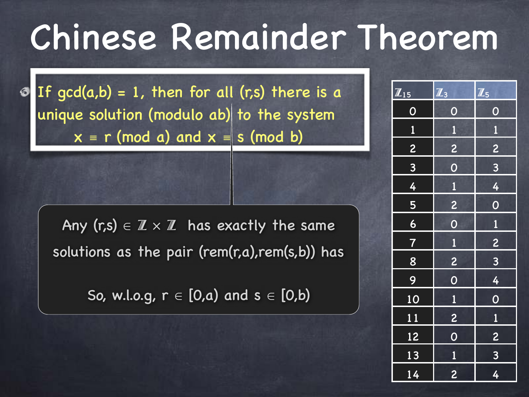If  $gcd(a,b) = 1$ , then for all  $(r,s)$  there is a unique solution (modulo ab) to the system  $x \equiv r \pmod{a}$  and  $x \equiv s \pmod{b}$ 

Any (r,s)  $\in \mathbb{Z} \times \mathbb{Z}$  has exactly the same solutions as the pair (rem(r,a),rem(s,b)) has

So, w.l.o.g,  $r \in [0,a)$  and  $s \in [0,b)$ 

| $\overline{\mathbf{Z}}_{15}$ | $\overline{\mathbb{Z}}_3$ | $\overline{\mathbf{1}}_5$ |
|------------------------------|---------------------------|---------------------------|
| $\overline{O}$               | $\overline{O}$            | $\overline{O}$            |
| $\overline{\mathbf{1}}$      | $\overline{\mathbf{1}}$   | $\overline{\mathbf{1}}$   |
| 2                            | 2                         | $\frac{2}{3}$             |
| $\frac{3}{4}$                | $\overline{O}$            | $\overline{3}$            |
|                              | $\overline{1}$            | $\frac{4}{1}$             |
|                              | <b>DE</b>                 | $\overline{0}$            |
| $\frac{5}{6}$                | $\overline{0}$            | $\overline{1}$            |
| $\boldsymbol{\phi}$          |                           |                           |
| $\frac{1}{8}$                | $\frac{1}{2}$             | $\frac{2}{3}$             |
| 9                            | $\overline{0}$            |                           |
| 10                           | $\overline{1}$            | $\frac{4}{0}$             |
| $\overline{11}$              |                           |                           |
| 12                           | $\frac{2}{0}$             | $\frac{1}{2}$             |
| 13                           | $\frac{1}{\sqrt{2}}$      | $\frac{1}{3}$             |
| 14                           | $\overline{c}$            | 4                         |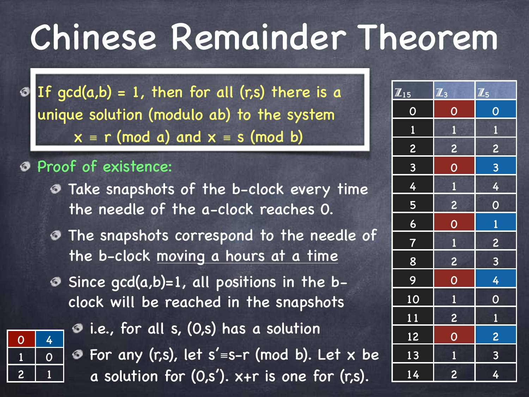If  $gcd(a,b) = 1$ , then for all  $(r,s)$  there is a unique solution (modulo ab) to the system  $x \equiv r \pmod{a}$  and  $x \equiv s \pmod{b}$ 

#### Proof of existence:

- Take snapshots of the b-clock every time the needle of the a-clock reaches 0.
- The snapshots correspond to the needle of the b-clock moving a hours at a time
- Since  $gcd(a,b)=1$ , all positions in the bclock will be reached in the snapshots



- $\bullet$  i.e., for all s, (0,s) has a solution
- For any (r,s), let s'≡s-r (mod b). Let x be a solution for (0,s'). x+r is one for (r,s).

| $\overline{\mathbf{Z}}_{15}$ | $\overline{\mathbb{Z}_3}$ | $\mathbb{Z}_5$          |
|------------------------------|---------------------------|-------------------------|
| $\overline{O}$               | $\overline{O}$            | $\overline{O}$          |
| $\overline{\mathbf{1}}$      | $\overline{\mathbf{1}}$   | $\mathbf{1}$            |
|                              | $\overline{2}$            | $\overline{c}$          |
| $\frac{2}{3}$                | $\overline{0}$            | SV.                     |
| $\overline{4}$               | $\overline{\mathbf{1}}$   | 4                       |
| $\overline{5}$               | $\overline{c}$            | $\overline{0}$          |
| $\overline{6}$               | $\overline{O}$            | $\overline{1}$          |
| $\overline{7}$               | $\overline{\mathbf{1}}$   | $\overline{c}$          |
| 8                            | $\overline{c}$            | $\overline{3}$          |
| 9                            | $\overline{0}$            | $\frac{4}{1}$           |
| 10                           | $\overline{1}$            | $\overline{0}$          |
| 11                           | $\overline{c}$            | $\overline{\mathbf{1}}$ |
| 12                           | $\overline{0}$            | $\overline{2}$          |
| 13                           | $\overline{\mathbf{1}}$   | $\frac{3}{2}$           |
| 14                           | $\overline{\mathbf{c}}$   | 4                       |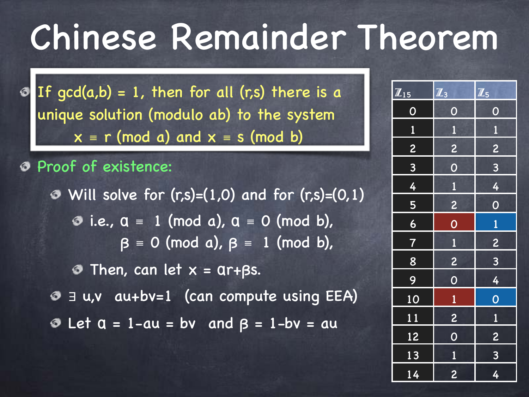If  $gcd(a,b) = 1$ , then for all  $(r,s)$  there is a unique solution (modulo ab) to the system  $x \equiv r \pmod{a}$  and  $x \equiv s \pmod{b}$ 

#### Proof of existence:

 $\odot$  Will solve for  $(r,s)=(1,0)$  and for  $(r,s)=(0,1)$  $\bullet$  i.e.,  $a \equiv 1 \pmod{a}$ ,  $a \equiv 0 \pmod{b}$ ,  $\beta \equiv 0 \pmod{a}$ ,  $\beta \equiv 1 \pmod{b}$ ,  $\odot$  Then, can let  $x = \text{ar+}\beta s$ . ∃ u,v au+bv=1 (can compute using EEA)  $\odot$  Let  $a = 1$ -au = bv and  $\beta = 1$ -bv = au

| $\overline{\mathbb{Z}_{15}}$ | $\mathbb{Z}_3$          | $\mathbb{Z}_5$          |
|------------------------------|-------------------------|-------------------------|
| $\boldsymbol{O}$             | $\overline{O}$          | $\overline{O}$          |
| $\overline{\mathbf{1}}$      | $\mathbf{1}$            | $\mathbf{1}$            |
|                              | 2                       | $\overline{\mathbf{c}}$ |
| $\frac{2}{3}$                | $\overline{0}$          | $\frac{1}{3}$           |
| $\overline{4}$               | $\frac{1}{1}$           | 4                       |
|                              |                         | $\overline{0}$          |
| $\frac{5}{6}$                | $\frac{2}{0}$           | $\overline{1}$          |
| $\frac{1}{\sqrt{2}}$         | $\overline{\mathbf{1}}$ | $\overline{c}$          |
| 8                            | <b>B</b>                | $\overline{3}$          |
| $\overline{9}$               | $\overline{0}$          | $\overline{4}$          |
| 10                           | $\overline{1}$          | $\overline{O}$          |
| 11                           |                         | $\frac{1}{1}$           |
| <u>12</u>                    | $\frac{2}{0}$           | $\overline{2}$          |
| 13                           | $\overline{1}$          | $\overline{3}$          |
| 14                           | $\overline{c}$          | 4                       |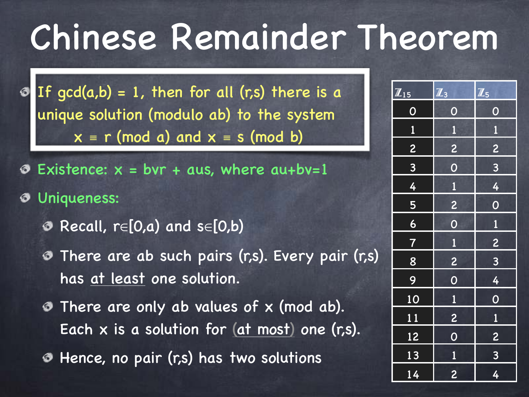If  $gcd(a,b) = 1$ , then for all  $(r,s)$  there is a unique solution (modulo ab) to the system  $x \equiv r \pmod{a}$  and  $x \equiv s \pmod{b}$ 

- Existence:  $x = bvr + aus$ , where  $au+bv=1$
- Uniqueness:
	- $\odot$  Recall, r∈[0,a) and s∈[0,b)
	- There are ab such pairs (r,s). Every pair (r,s) has at least one solution.
	- There are only ab values of x (mod ab). Each x is a solution for (at most) one (r,s).
	- Hence, no pair (r,s) has two solutions ❼

| $\overline{\mathbf{Z}_{15}}$ | $\overline{\mathbb{Z}_3}$ | $\overline{\mathbb{Z}}_5$ |
|------------------------------|---------------------------|---------------------------|
| $\overline{O}$               | $\overline{O}$            | $\overline{O}$            |
| $\mathbf{1}$                 | $\overline{\mathbf{1}}$   | $\overline{1}$            |
| $\overline{2}$               | $\overline{c}$            | $\overline{\mathbf{c}}$   |
| $\overline{3}$               | $\overline{O}$            | $\overline{\mathbf{3}}$   |
| 4                            | $\overline{1}$            | 4                         |
| $\overline{\overline{5}}$    | $\overline{c}$            | $\overline{O}$            |
| $\overline{6}$               | $\overline{O}$            | $\overline{1}$            |
| $\overline{7}$               | $\overline{\mathbf{1}}$   | $\overline{c}$            |
| 8                            | 2                         | $\overline{\mathbf{3}}$   |
| 9                            | $\overline{O}$            | $\overline{4}$            |
| 10                           | $\overline{1}$            | $\overline{0}$            |
| 11                           | $\overline{c}$            | $\overline{\mathbf{1}}$   |
| 12                           | $\overline{O}$            | $\overline{2}$            |
| 13                           | $\mathbf{1}$              | $\overline{3}$            |
| $\overline{14}$              | $\overline{c}$            | 4                         |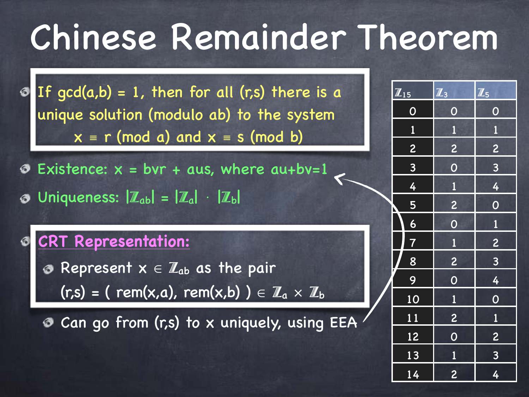If  $gcd(a,b) = 1$ , then for all  $(r,s)$  there is a unique solution (modulo ab) to the system  $x \equiv r \pmod{a}$  and  $x \equiv s \pmod{b}$ 

- Existence:  $x = bvr + aus$ , where  $au+bv=1$
- Uniqueness:  $|\mathbb{Z}_{ab}| = |\mathbb{Z}_{a}| \cdot |\mathbb{Z}_{b}|$

### **CRT Representation:**

**B** Represent  $x \in \mathbb{Z}_{ab}$  as the pair  $\overline{f(r,s)} = (rem(x,a), rem(x,b)) \in \mathbb{Z}_a \times \mathbb{Z}_b$ 

Can go from (r,s) to x uniquely, using EEA

| $\overline{\mathbb{Z}_3}$ | $\overline{\mathbb{Z}_5}$ |
|---------------------------|---------------------------|
| $\overline{O}$            | $\overline{O}$            |
| $\overline{\mathbf{1}}$   | $\overline{1}$            |
| $\overline{\mathbf{c}}$   | $\overline{c}$            |
| $\overline{0}$            | 8                         |
| $\overline{\mathbf{1}}$   | 4                         |
| $\overline{\mathbf{c}}$   | $\overline{O}$            |
| $\overline{O}$            | $\overline{1}$            |
| $\overline{1}$            | <b>B</b>                  |
| $\overline{\mathbf{c}}$   | 8                         |
| $\overline{O}$            | $\frac{4}{1}$             |
| $\overline{1}$            | $\overline{0}$            |
| $\overline{c}$            | $\overline{1}$            |
| $\overline{O}$            | $\overline{c}$            |
|                           | $\frac{3}{4}$             |
| $\overline{c}$            |                           |
|                           | $\overline{1}$            |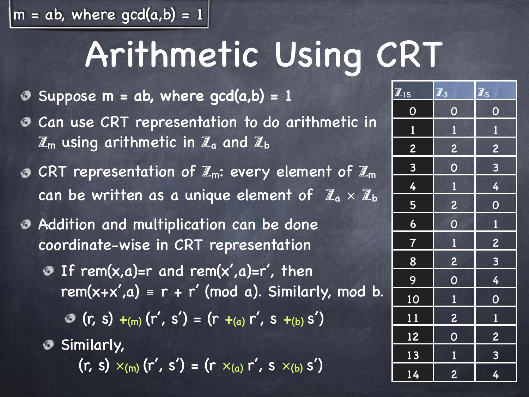$m = ab$ , where  $gcd(a,b) = 1$ 

## Arithmetic Using CRT

- Suppose  $m = ab$ , where  $gcd(a,b) = 1$
- Can use CRT representation to do arithmetic in ❼  $\mathbb{Z}_m$  using arithmetic in  $\mathbb{Z}_a$  and  $\mathbb{Z}_b$
- $\odot$  CRT representation of  $\mathbb{Z}_m$ : every element of  $\mathbb{Z}_m$ can be written as a unique element of  $\mathbb{Z}_a \times \mathbb{Z}_b$
- Addition and multiplication can be done coordinate-wise in CRT representation
	- **O** If rem( $x, a$ )=r and rem( $x', a$ )=r', then rem(x+x',a) =  $r + r'$  (mod a). Similarly, mod b.
		- $( r, s) +_{(m)} (r', s') = (r +_{(a)} r', s +_{(b)} s')$
	- **Similarly,** 
		- $(r, s) \times_{(m)} (r', s') = (r \times_{(a)} r', s \times_{(b)} s')$

| $\overline{\mathbf{Z}_{15}}$ | $\overline{\mathbb{Z}_3}$ | $\overline{\mathbf{Z}}_5$ |
|------------------------------|---------------------------|---------------------------|
| $\boldsymbol{0}$             | $\overline{O}$            | $\overline{O}$            |
| $\overline{\mathbf{1}}$      | $\overline{\mathbf{1}}$   | $\overline{\mathbf{1}}$   |
| $\overline{2}$               | $\overline{c}$            | $\overline{c}$            |
| $\overline{3}$               | $\overline{O}$            | $\overline{3}$            |
| 4                            | $\overline{1}$            | 4                         |
| 5                            | $\overline{c}$            | $\overline{O}$            |
| $\overline{6}$               | $\overline{O}$            | $\mathbf{1}$              |
| $\ddot{\bm{q}}$              | $\overline{1}$            | $\overline{2}$            |
| 8                            | $\overline{c}$            | $\overline{\mathbf{3}}$   |
| 9                            | $\overline{O}$            | $\overline{4}$            |
| 10                           | $\overline{\mathbf{1}}$   | $\overline{0}$            |
| 11                           | $\overline{c}$            | $\overline{\mathbf{1}}$   |
| 12                           | $\overline{O}$            | $\overline{c}$            |
| 13                           | $\overline{1}$            | $\overline{\mathbf{3}}$   |
| 14                           | $\overline{c}$            | 4                         |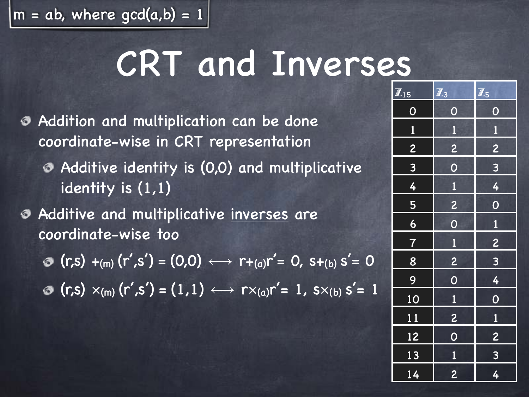$|m = ab$ , where gcd(a,b) = 1

### CRT and Inverses

- Addition and multiplication can be done coordinate-wise in CRT representation
	- Additive identity is (0,0) and multiplicative identity is (1,1)
- Additive and multiplicative inverses are coordinate-wise too
	- **⊙**  $(r,s) +_{(m)} (r',s') = (0,0) \leftrightarrow r +_{(a)} r' = 0$ ,  $s +_{(b)} s' = 0$
	- $r(\mathbf{r},\mathbf{s}) \times_{(m)} (r',\mathbf{s'}) = (1,1) \longleftrightarrow r \times_{(a)} r' = 1, \mathbf{s} \times_{(b)} s' = 1$

| $\overline{\mathbb{Z}_{15}}$ | $\overline{\mathbb{Z}}_3$ | $\overline{\mathbb{Z}_5}$ |
|------------------------------|---------------------------|---------------------------|
| $\overline{0}$               | $\overline{O}$            | $\overline{O}$            |
| $\mathbf{1}$                 | $\overline{\mathbf{1}}$   | $\overline{\mathbf{1}}$   |
| $\overline{2}$               | $\overline{2}$            | $\overline{c}$            |
| $\overline{3}$               | $\overline{0}$            | $\frac{3}{2}$             |
| 4                            | $\overline{\mathbf{1}}$   | $\overline{4}$            |
| $\frac{5}{1}$                | $\frac{2}{2}$             | $\overline{O}$            |
| $\frac{6}{ }$                | $\overline{O}$            | $\mathbf{1}$              |
| $\overline{7}$               | $\overline{\mathbf{1}}$   | <b>B</b>                  |
| 8                            | $\overline{c}$            | <b>BV</b>                 |
| $\overline{9}$               | $\overline{0}$            | $\overline{4}$            |
| 10                           | $\overline{\mathbf{1}}$   | $\overline{0}$            |
| 11                           | $\overline{c}$            | $\overline{\mathbf{1}}$   |
| 12                           | $\overline{O}$            | $\overline{c}$            |
| 13                           | $\overline{1}$            | $\overline{\mathbf{3}}$   |
| $\overline{14}$              | $\overline{c}$            | $\overline{4}$            |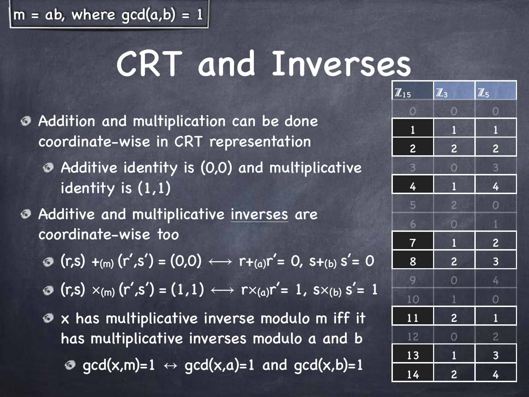$|m = ab$ , where gcd(a,b) = 1

### CRT and Inverses

- Addition and multiplication can be done coordinate-wise in CRT representation
	- Additive identity is (0,0) and multiplicative identity is (1,1)
- Additive and multiplicative inverses are coordinate-wise too
	- **⊙**  $(r,s) +_{(m)} (r',s') = (0,0) \leftrightarrow r +_{(a)} r' = 0$ ,  $s +_{(b)} s' = 0$
	- $r(\mathbf{r},\mathbf{s}) \times_{(m)} (r',\mathbf{s'}) = (1,1) \longleftrightarrow r \times_{(a)} r' = 1, \mathbf{s} \times_{(b)} s' = 1$
	- x has multiplicative inverse modulo m iff it has multiplicative inverses modulo a and b  $\theta$  gcd(x,m)=1  $\leftrightarrow$  gcd(x,a)=1 and gcd(x,b)=1

| $\overline{\mathbf{Z}_{15}}$ | $\overline{\mathbb{Z}}_3$ | $\overline{\mathbb{Z}}_5$ |
|------------------------------|---------------------------|---------------------------|
| $\overline{\mathbf{O}}$      | $\bf{O}$                  | $\overline{O}$            |
| $\overline{\mathbf{1}}$      | Ù                         | Ù                         |
| $\overline{c}$               | $\overline{c}$            | $\overline{c}$            |
|                              | $\overline{O}$            | $\overline{\mathbf{3}}$   |
| $\frac{3}{4}$                | $\overline{1}$            | $\overline{4}$            |
| $\overline{\mathbf{5}}$      | $\overline{c}$            | $\overline{O}$            |
| 6                            | $\overline{O}$            | $\overline{1}$            |
| $\clubsuit$                  |                           |                           |
| $\frac{8}{1}$                | $\frac{1}{2}$             | $\frac{2}{3}$             |
| 9                            | $\overline{0}$            | $\frac{4}{1}$             |
| 10                           | $\overline{1}$            | $\overline{O}$            |
| <u>11</u>                    | $\overline{2}$            | $\overline{1}$            |
| 12                           | $\overline{0}$            | $\overline{2}$            |
| 13                           |                           | $\frac{3}{2}$             |
| $\overline{14}$              | $\frac{1}{2}$             | 4                         |